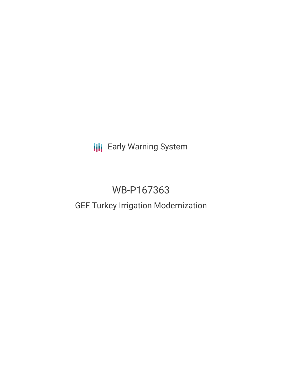**III** Early Warning System

# WB-P167363

# GEF Turkey Irrigation Modernization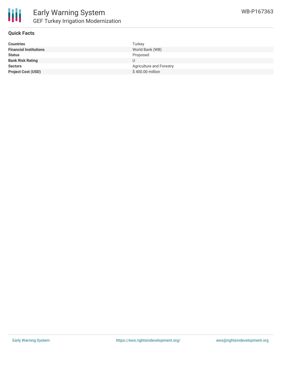

#### **Quick Facts**

| <b>Countries</b>              | Turkey                          |
|-------------------------------|---------------------------------|
| <b>Financial Institutions</b> | World Bank (WB)                 |
| <b>Status</b>                 | Proposed                        |
| <b>Bank Risk Rating</b>       |                                 |
| <b>Sectors</b>                | <b>Agriculture and Forestry</b> |
| <b>Project Cost (USD)</b>     | \$400.00 million                |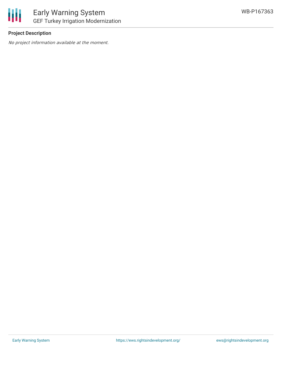

#### **Project Description**

No project information available at the moment.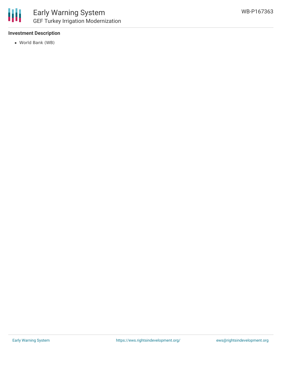

#### **Investment Description**

World Bank (WB)